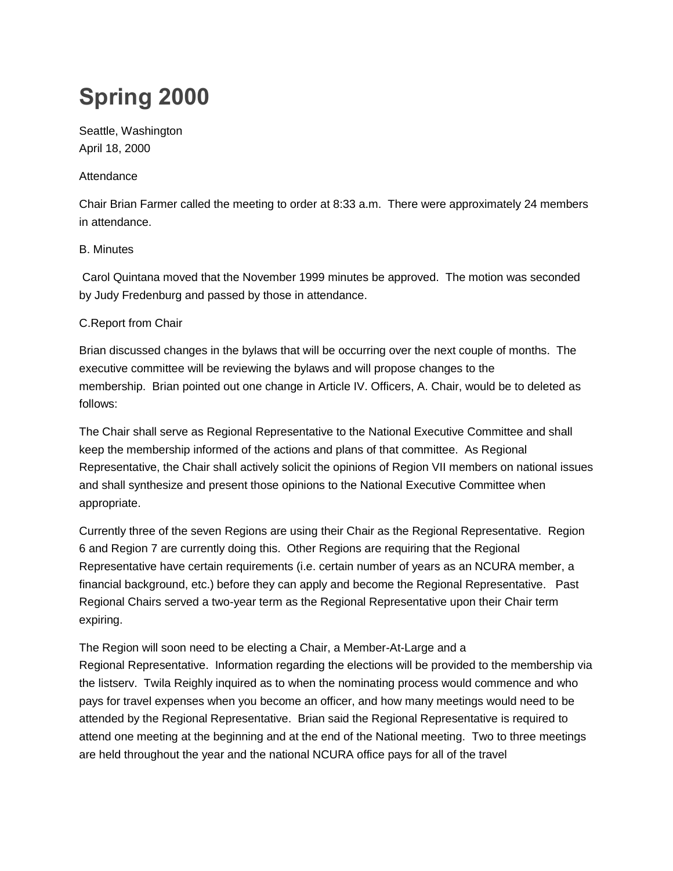# **Spring 2000**

Seattle, Washington April 18, 2000

## Attendance

Chair Brian Farmer called the meeting to order at 8:33 a.m. There were approximately 24 members in attendance.

# B. Minutes

Carol Quintana moved that the November 1999 minutes be approved. The motion was seconded by Judy Fredenburg and passed by those in attendance.

# C.Report from Chair

Brian discussed changes in the bylaws that will be occurring over the next couple of months. The executive committee will be reviewing the bylaws and will propose changes to the membership. Brian pointed out one change in Article IV. Officers, A. Chair, would be to deleted as follows:

The Chair shall serve as Regional Representative to the National Executive Committee and shall keep the membership informed of the actions and plans of that committee. As Regional Representative, the Chair shall actively solicit the opinions of Region VII members on national issues and shall synthesize and present those opinions to the National Executive Committee when appropriate.

Currently three of the seven Regions are using their Chair as the Regional Representative. Region 6 and Region 7 are currently doing this. Other Regions are requiring that the Regional Representative have certain requirements (i.e. certain number of years as an NCURA member, a financial background, etc.) before they can apply and become the Regional Representative. Past Regional Chairs served a two-year term as the Regional Representative upon their Chair term expiring.

The Region will soon need to be electing a Chair, a Member-At-Large and a Regional Representative. Information regarding the elections will be provided to the membership via the listserv. Twila Reighly inquired as to when the nominating process would commence and who pays for travel expenses when you become an officer, and how many meetings would need to be attended by the Regional Representative. Brian said the Regional Representative is required to attend one meeting at the beginning and at the end of the National meeting. Two to three meetings are held throughout the year and the national NCURA office pays for all of the travel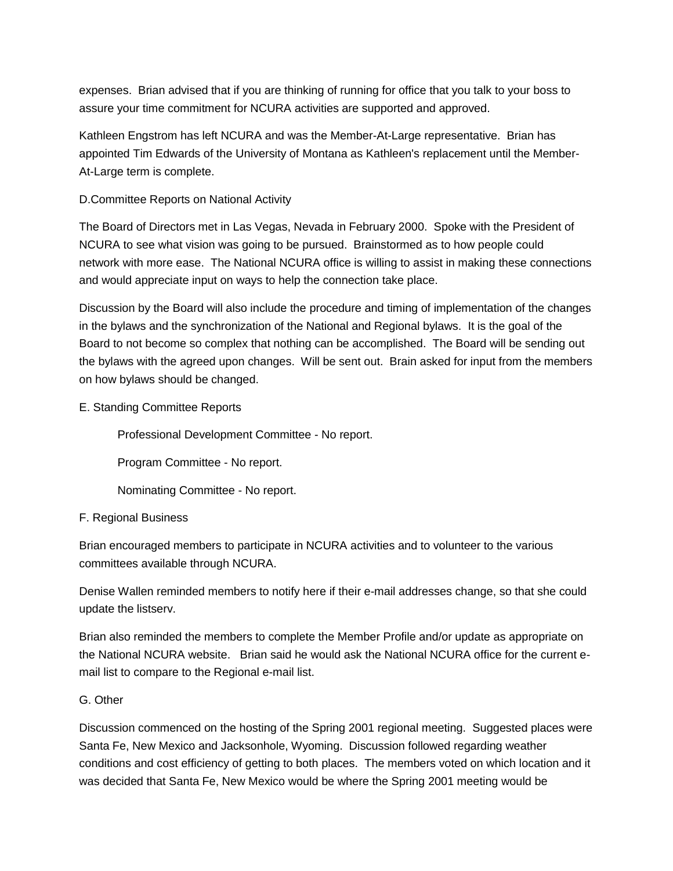expenses. Brian advised that if you are thinking of running for office that you talk to your boss to assure your time commitment for NCURA activities are supported and approved.

Kathleen Engstrom has left NCURA and was the Member-At-Large representative. Brian has appointed Tim Edwards of the University of Montana as Kathleen's replacement until the Member-At-Large term is complete.

## D.Committee Reports on National Activity

The Board of Directors met in Las Vegas, Nevada in February 2000. Spoke with the President of NCURA to see what vision was going to be pursued. Brainstormed as to how people could network with more ease. The National NCURA office is willing to assist in making these connections and would appreciate input on ways to help the connection take place.

Discussion by the Board will also include the procedure and timing of implementation of the changes in the bylaws and the synchronization of the National and Regional bylaws. It is the goal of the Board to not become so complex that nothing can be accomplished. The Board will be sending out the bylaws with the agreed upon changes. Will be sent out. Brain asked for input from the members on how bylaws should be changed.

### E. Standing Committee Reports

Professional Development Committee - No report.

Program Committee - No report.

Nominating Committee - No report.

### F. Regional Business

Brian encouraged members to participate in NCURA activities and to volunteer to the various committees available through NCURA.

Denise Wallen reminded members to notify here if their e-mail addresses change, so that she could update the listserv.

Brian also reminded the members to complete the Member Profile and/or update as appropriate on the National NCURA website. Brian said he would ask the National NCURA office for the current email list to compare to the Regional e-mail list.

### G. Other

Discussion commenced on the hosting of the Spring 2001 regional meeting. Suggested places were Santa Fe, New Mexico and Jacksonhole, Wyoming. Discussion followed regarding weather conditions and cost efficiency of getting to both places. The members voted on which location and it was decided that Santa Fe, New Mexico would be where the Spring 2001 meeting would be